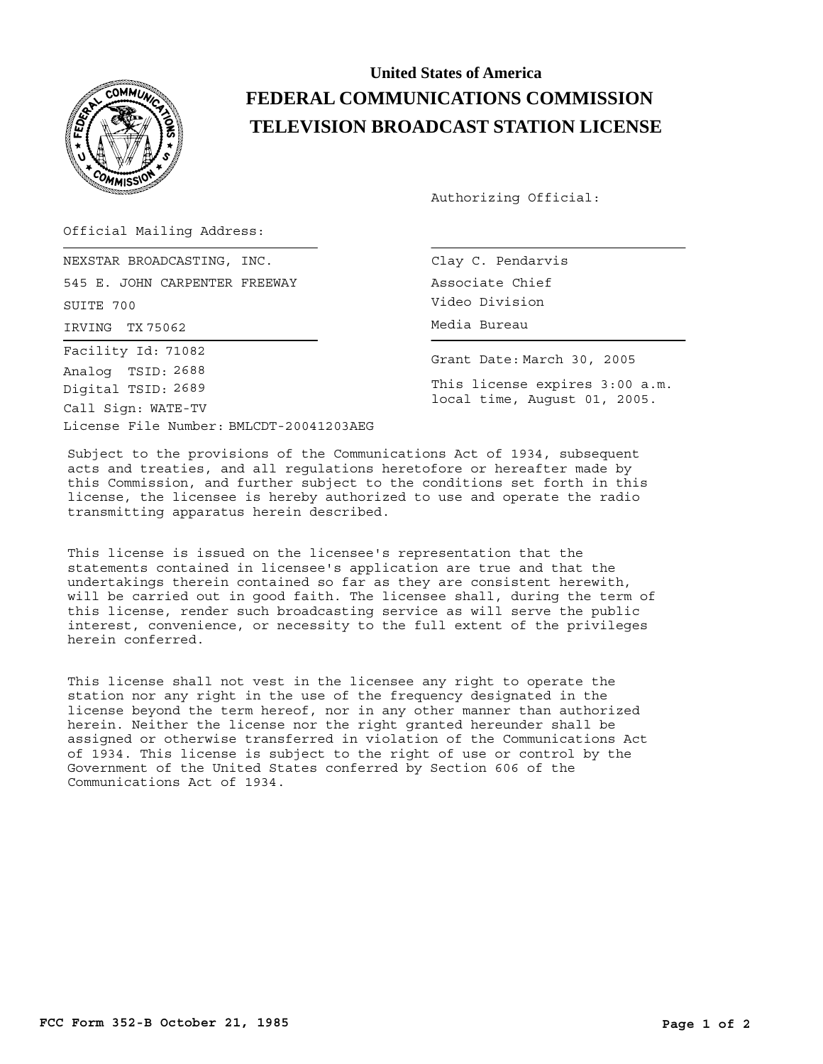

## **United States of America FEDERAL COMMUNICATIONS COMMISSION TELEVISION BROADCAST STATION LICENSE**

Authorizing Official:

Official Mailing Address:

IRVING TX 75062 **Media Bureau** NEXSTAR BROADCASTING, INC. 545 E. JOHN CARPENTER FREEWAY SUITE 700 License File Number: BMLCDT-20041203AEG Call Sign: WATE-TV Facility Id: 71082 Digital TSID: 2689 Analog TSID: 2688

Clay C. Pendarvis Associate Chief Video Division

Grant Date: March 30, 2005

This license expires 3:00 a.m. local time, August 01, 2005.

Subject to the provisions of the Communications Act of 1934, subsequent acts and treaties, and all regulations heretofore or hereafter made by this Commission, and further subject to the conditions set forth in this license, the licensee is hereby authorized to use and operate the radio transmitting apparatus herein described.

This license is issued on the licensee's representation that the statements contained in licensee's application are true and that the undertakings therein contained so far as they are consistent herewith, will be carried out in good faith. The licensee shall, during the term of this license, render such broadcasting service as will serve the public interest, convenience, or necessity to the full extent of the privileges herein conferred.

This license shall not vest in the licensee any right to operate the station nor any right in the use of the frequency designated in the license beyond the term hereof, nor in any other manner than authorized herein. Neither the license nor the right granted hereunder shall be assigned or otherwise transferred in violation of the Communications Act of 1934. This license is subject to the right of use or control by the Government of the United States conferred by Section 606 of the Communications Act of 1934.